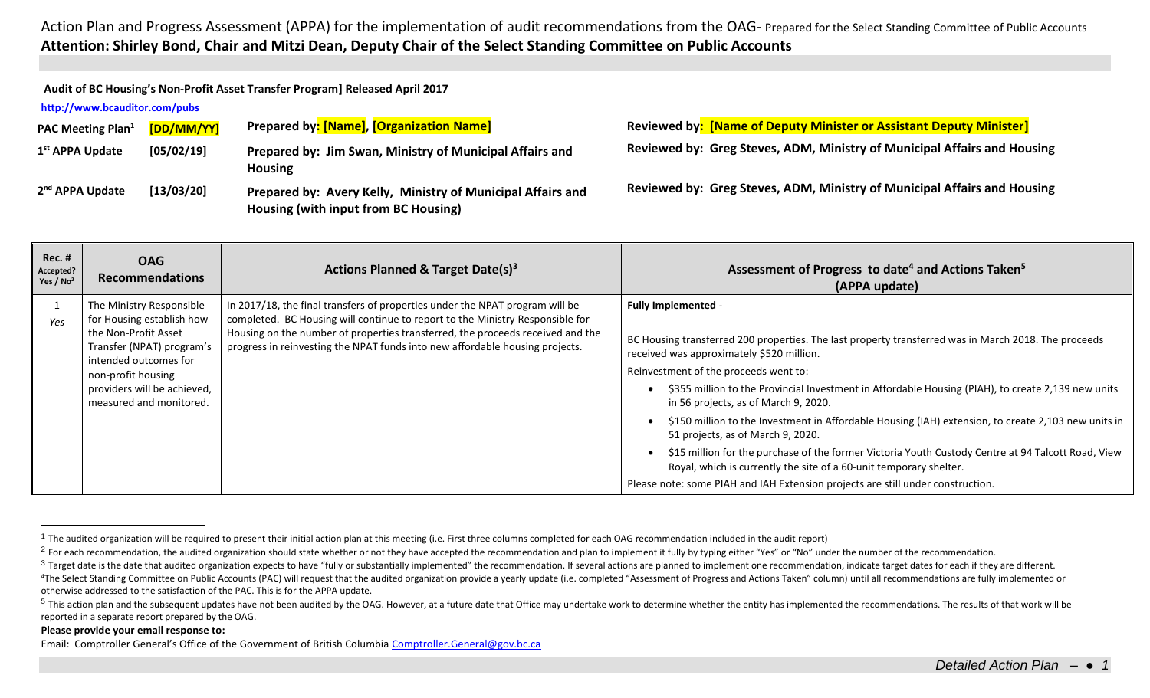Action Plan and Progress Assessment (APPA) for the implementation of audit recommendations from the OAG- Prepared for the Select Standing Committee of Public Accounts **Attention: Shirley Bond, Chair and Mitzi Dean, Deputy Chair of the Select Standing Committee on Public Accounts**

**Audit of BC Housing's Non-Profit Asset Transfer Program] Released April 2017**

## **<http://www.bcauditor.com/pubs>**

| <b>PAC Meeting Plan</b> <sup>1</sup> | [DD/MM/YY] | Prepared by: [Name], [Organization Name]                                                            | <b>Reviewed by: [Name of Deputy Minister or Assistant Deputy Minister]</b> |
|--------------------------------------|------------|-----------------------------------------------------------------------------------------------------|----------------------------------------------------------------------------|
| 1 <sup>st</sup> APPA Update          | [05/02/19] | Prepared by: Jim Swan, Ministry of Municipal Affairs and<br><b>Housing</b>                          | Reviewed by: Greg Steves, ADM, Ministry of Municipal Affairs and Housing   |
| 2 <sup>nd</sup> APPA Update          | [13/03/20] | Prepared by: Avery Kelly, Ministry of Municipal Affairs and<br>Housing (with input from BC Housing) | Reviewed by: Greg Steves, ADM, Ministry of Municipal Affairs and Housing   |

| <b>Rec. #</b><br>Accepted?<br>Yes / $No2$ | <b>OAG</b><br><b>Recommendations</b>                                                                                                                                                                                | Actions Planned & Target Date(s) <sup>3</sup>                                                                                                                                                                                                                                                                                   | Assessment of Progress to date <sup>4</sup> and Actions Taken <sup>5</sup><br>(APPA update)                                                                                                                                                                                                                                                                                                                                                                                                                                                                                                                                                                                                                                                                                       |
|-------------------------------------------|---------------------------------------------------------------------------------------------------------------------------------------------------------------------------------------------------------------------|---------------------------------------------------------------------------------------------------------------------------------------------------------------------------------------------------------------------------------------------------------------------------------------------------------------------------------|-----------------------------------------------------------------------------------------------------------------------------------------------------------------------------------------------------------------------------------------------------------------------------------------------------------------------------------------------------------------------------------------------------------------------------------------------------------------------------------------------------------------------------------------------------------------------------------------------------------------------------------------------------------------------------------------------------------------------------------------------------------------------------------|
| Yes                                       | The Ministry Responsible<br>for Housing establish how<br>the Non-Profit Asset<br>Transfer (NPAT) program's<br>intended outcomes for<br>non-profit housing<br>providers will be achieved,<br>measured and monitored. | In 2017/18, the final transfers of properties under the NPAT program will be<br>completed. BC Housing will continue to report to the Ministry Responsible for<br>Housing on the number of properties transferred, the proceeds received and the<br>progress in reinvesting the NPAT funds into new affordable housing projects. | <b>Fully Implemented -</b><br>BC Housing transferred 200 properties. The last property transferred was in March 2018. The proceeds<br>received was approximately \$520 million.<br>Reinvestment of the proceeds went to:<br>\$355 million to the Provincial Investment in Affordable Housing (PIAH), to create 2,139 new units<br>in 56 projects, as of March 9, 2020.<br>\$150 million to the Investment in Affordable Housing (IAH) extension, to create 2,103 new units in<br>51 projects, as of March 9, 2020.<br>\$15 million for the purchase of the former Victoria Youth Custody Centre at 94 Talcott Road, View<br>Royal, which is currently the site of a 60-unit temporary shelter.<br>Please note: some PIAH and IAH Extension projects are still under construction. |

## **Please provide your email response to:**

 $\overline{a}$ 

Email: Comptroller General's Office of the Government of British Columbia [Comptroller.General@gov.bc.ca](mailto:Comptroller.General@gov.bc.ca)

<sup>&</sup>lt;sup>1</sup> The audited organization will be required to present their initial action plan at this meeting (i.e. First three columns completed for each OAG recommendation included in the audit report)

<sup>&</sup>lt;sup>2</sup> For each recommendation, the audited organization should state whether or not they have accepted the recommendation and plan to implement it fully by typing either "Yes" or "No" under the number of the recommendation.

<sup>&</sup>lt;sup>3</sup> Target date is the date that audited organization expects to have "fully or substantially implemented" the recommendation. If several actions are planned to implement one recommendation, indicate target dates for each <sup>4</sup>The Select Standing Committee on Public Accounts (PAC) will request that the audited organization provide a yearly update (i.e. completed "Assessment of Progress and Actions Taken" column) until all recommendations are otherwise addressed to the satisfaction of the PAC. This is for the APPA update.

<sup>&</sup>lt;sup>5</sup> This action plan and the subsequent updates have not been audited by the OAG. However, at a future date that Office may undertake work to determine whether the entity has implemented the recommendations. The results of reported in a separate report prepared by the OAG.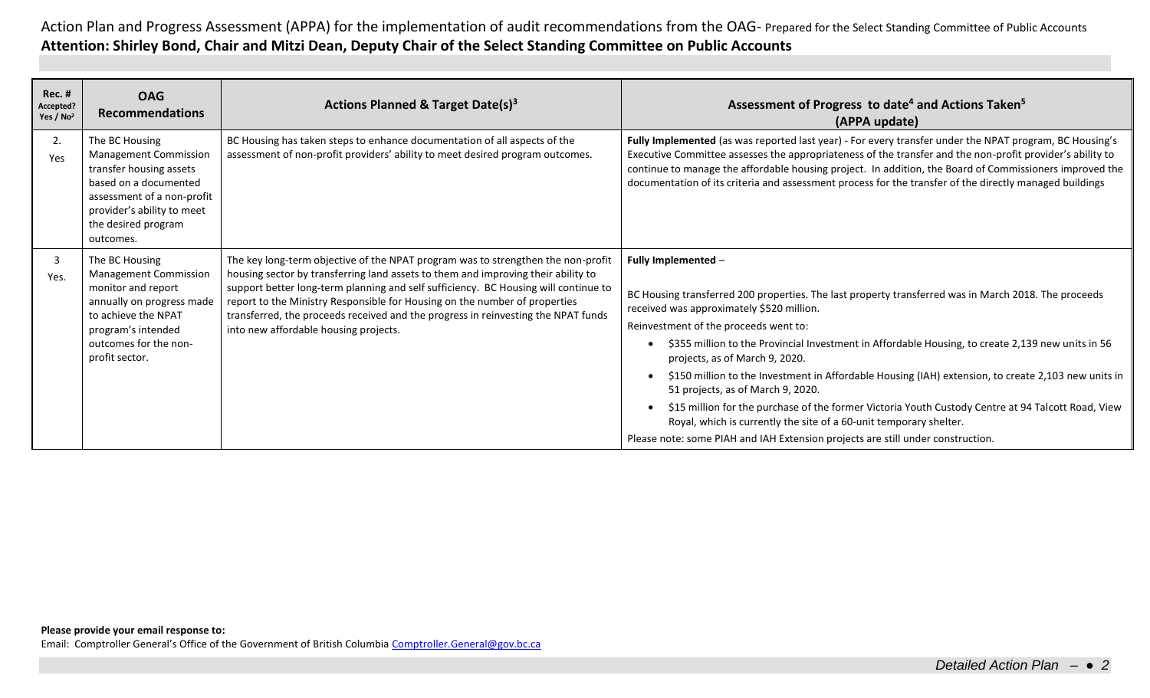Action Plan and Progress Assessment (APPA) for the implementation of audit recommendations from the OAG- Prepared for the Select Standing Committee of Public Accounts **Attention: Shirley Bond, Chair and Mitzi Dean, Deputy Chair of the Select Standing Committee on Public Accounts**

| Rec.#<br>Accepted?<br>Yes / No <sup>2</sup> | <b>OAG</b><br><b>Recommendations</b>                                                                                                                                                               | Actions Planned & Target Date(s) <sup>3</sup>                                                                                                                                                                                                                                                                                                                                                                                                                            | Assessment of Progress to date <sup>4</sup> and Actions Taken <sup>5</sup><br>(APPA update)                                                                                                                                                                                                                                                                                                                                                                                                                                                                                                                                                                                                                                                                         |
|---------------------------------------------|----------------------------------------------------------------------------------------------------------------------------------------------------------------------------------------------------|--------------------------------------------------------------------------------------------------------------------------------------------------------------------------------------------------------------------------------------------------------------------------------------------------------------------------------------------------------------------------------------------------------------------------------------------------------------------------|---------------------------------------------------------------------------------------------------------------------------------------------------------------------------------------------------------------------------------------------------------------------------------------------------------------------------------------------------------------------------------------------------------------------------------------------------------------------------------------------------------------------------------------------------------------------------------------------------------------------------------------------------------------------------------------------------------------------------------------------------------------------|
| 2.<br>Yes                                   | The BC Housing<br><b>Management Commission</b><br>transfer housing assets<br>based on a documented<br>assessment of a non-profit<br>provider's ability to meet<br>the desired program<br>outcomes. | BC Housing has taken steps to enhance documentation of all aspects of the<br>assessment of non-profit providers' ability to meet desired program outcomes.                                                                                                                                                                                                                                                                                                               | Fully Implemented (as was reported last year) - For every transfer under the NPAT program, BC Housing's<br>Executive Committee assesses the appropriateness of the transfer and the non-profit provider's ability to<br>continue to manage the affordable housing project. In addition, the Board of Commissioners improved the<br>documentation of its criteria and assessment process for the transfer of the directly managed buildings                                                                                                                                                                                                                                                                                                                          |
| 3<br>Yes.                                   | The BC Housing<br><b>Management Commission</b><br>monitor and report<br>annually on progress made<br>to achieve the NPAT<br>program's intended<br>outcomes for the non-<br>profit sector.          | The key long-term objective of the NPAT program was to strengthen the non-profit<br>housing sector by transferring land assets to them and improving their ability to<br>support better long-term planning and self sufficiency. BC Housing will continue to<br>report to the Ministry Responsible for Housing on the number of properties<br>transferred, the proceeds received and the progress in reinvesting the NPAT funds<br>into new affordable housing projects. | Fully Implemented -<br>BC Housing transferred 200 properties. The last property transferred was in March 2018. The proceeds<br>received was approximately \$520 million.<br>Reinvestment of the proceeds went to:<br>\$355 million to the Provincial Investment in Affordable Housing, to create 2,139 new units in 56<br>projects, as of March 9, 2020.<br>\$150 million to the Investment in Affordable Housing (IAH) extension, to create 2,103 new units in<br>51 projects, as of March 9, 2020.<br>\$15 million for the purchase of the former Victoria Youth Custody Centre at 94 Talcott Road, View<br>Royal, which is currently the site of a 60-unit temporary shelter.<br>Please note: some PIAH and IAH Extension projects are still under construction. |